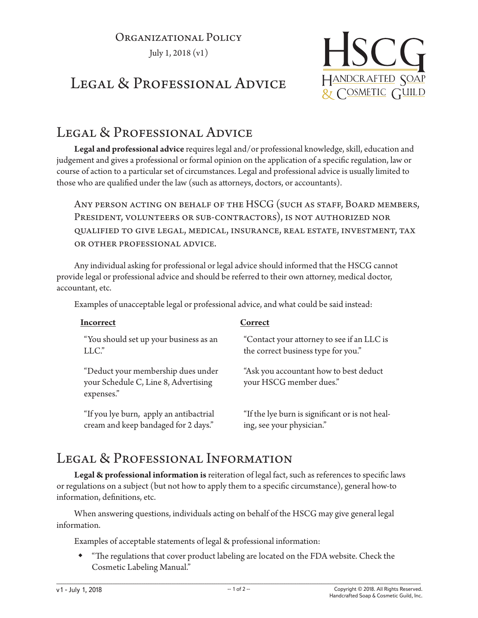## Organizational Policy July 1, 2018 (v1)

**HSCG** HANDCRAFTED SOAP & COSMETIC GUILD

## LEGAL & PROFESSIONAL ADVICE

## LEGAL & PROFESSIONAL ADVICE

**Legal and professional advice** requires legal and/or professional knowledge, skill, education and judgement and gives a professional or formal opinion on the application of a specific regulation, law or course of action to a particular set of circumstances. Legal and professional advice is usually limited to those who are qualified under the law (such as attorneys, doctors, or accountants).

ANY PERSON ACTING ON BEHALF OF THE HSCG (SUCH AS STAFF, BOARD MEMBERS, President, volunteers or sub-contractors), is not authorized nor qualified to give legal, medical, insurance, real estate, investment, tax or other professional advice.

Any individual asking for professional or legal advice should informed that the HSCG cannot provide legal or professional advice and should be referred to their own attorney, medical doctor, accountant, etc.

Examples of unacceptable legal or professional advice, and what could be said instead:

| Incorrect                                                                                | Correct                                                           |
|------------------------------------------------------------------------------------------|-------------------------------------------------------------------|
| "You should set up your business as an                                                   | "Contact your attorney to see if an LLC is                        |
| $LLC$ ."                                                                                 | the correct business type for you."                               |
| "Deduct your membership dues under<br>your Schedule C, Line 8, Advertising<br>expenses." | "Ask you accountant how to best deduct<br>your HSCG member dues." |
| "If you lye burn, apply an antibactrial                                                  | "If the lye burn is significant or is not heal-                   |
| cream and keep bandaged for 2 days."                                                     | ing, see your physician."                                         |

## LEGAL & PROFESSIONAL INFORMATION

**Legal & professional information is** reiteration of legal fact, such as references to specific laws or regulations on a subject (but not how to apply them to a specific circumstance), general how-to information, definitions, etc.

When answering questions, individuals acting on behalf of the HSCG may give general legal information.

Examples of acceptable statements of legal & professional information:

 "The regulations that cover product labeling are located on the FDA website. Check the Cosmetic Labeling Manual."